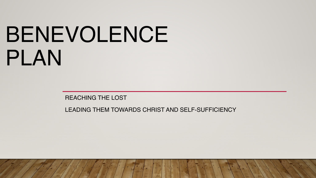# BENEVOLENCE PLAN

REACHING THE LOST

LEADING THEM TOWARDS CHRIST AND SELF-SUFFICIENCY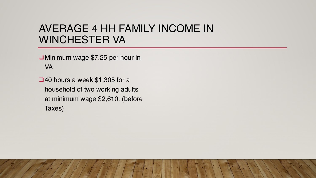## AVERAGE 4 HH FAMILY INCOME IN WINCHESTER VA

❑ Minimum wage \$7.25 per hour in VA

❑40 hours a week \$1,305 for a household of two working adults at minimum wage \$2,610. (before Taxes)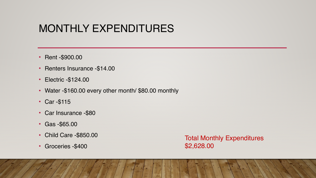## MONTHLY EXPENDITURES

- Rent -\$900.00
- Renters Insurance -\$14.00
- Electric -\$124.00
- Water -\$160.00 every other month/ \$80.00 monthly
- Car -\$115
- Car Insurance -\$80
- Gas -\$65.00
- Child Care -\$850.00
- Groceries -\$400

Total Monthly Expenditures \$2,628.00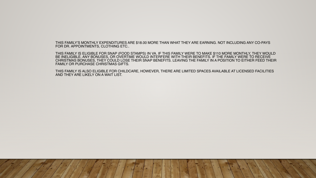THIS FAMILY'S MONTHLY EXPENDITURES ARE \$18.00 MORE THAN WHAT THEY ARE EARNING. NOT INCLUDING ANY CO-PAYS FOR DR. APPOINTMENTS, CLOTHING ETC..

THIS FAMILY IS ELIGIBLE FOR SNAP (FOOD STAMPS) IN VA. IF THIS FAMILY WERE TO MAKE \$110 MORE MONTHLY, THEY WOULD BE INELIGIBLE. ANY BONUSES, OR OVERTIME WOULD INTERFERE WITH THEIR BENEFITS. IF THE FAMILY WERE TO RECEIVE CHRISTMAS BONUSES, THEY COULD LOSE THEIR SNAP BENEFITS. LEAVING THE FAMILY IN A POSITION TO EITHER FEED THEIR FAMILY OR PURCHASE CHRISTMAS GIFTS.

THIS FAMILY IS ALSO ELIGIBLE FOR CHILDCARE, HOWEVER, THERE ARE LIMITED SPACES AVAILABLE AT LICENSED FACILITIES AND THEY ARE LIKELY ON A WAIT LIST.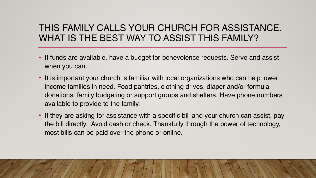#### THIS FAMILY CALLS YOUR CHURCH FOR ASSISTANCE. WHAT IS THE BEST WAY TO ASSIST THIS FAMILY?

- If funds are available, have a budget for benevolence requests. Serve and assist when you can.
- It is important your church is familiar with local organizations who can help lower income families in need. Food pantries, clothing drives, diaper and/or formula donations, family budgeting or support groups and shelters. Have phone numbers available to provide to the family.
- If they are asking for assistance with a specific bill and your church can assist, pay the bill directly. Avoid cash or check. Thankfully through the power of technology, most bills can be paid over the phone or online.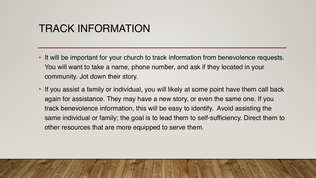## TRACK INFORMATION

- It will be important for your church to track information from benevolence requests. You will want to take a name, phone number, and ask if they located in your community. Jot down their story.
- If you assist a family or individual, you will likely at some point have them call back again for assistance. They may have a new story, or even the same one. If you track benevolence information, this will be easy to identify. Avoid assisting the same individual or family; the goal is to lead them to self-sufficiency. Direct them to other resources that are more equipped to serve them.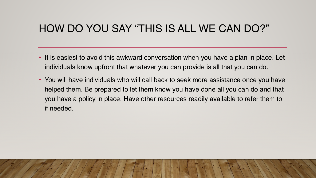## HOW DO YOU SAY "THIS IS ALL WE CAN DO?"

- It is easiest to avoid this awkward conversation when you have a plan in place. Let individuals know upfront that whatever you can provide is all that you can do.
- You will have individuals who will call back to seek more assistance once you have helped them. Be prepared to let them know you have done all you can do and that you have a policy in place. Have other resources readily available to refer them to if needed.